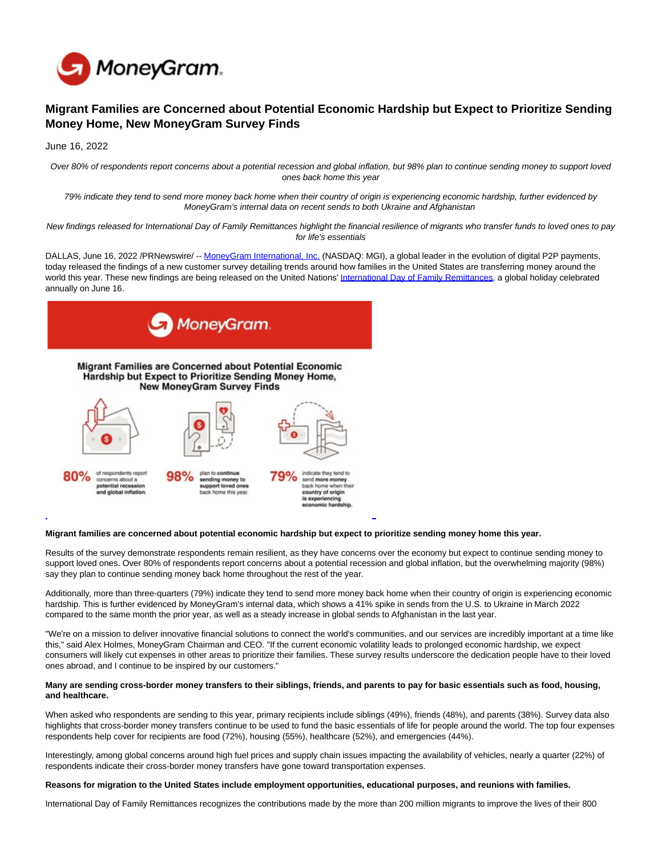

# **Migrant Families are Concerned about Potential Economic Hardship but Expect to Prioritize Sending Money Home, New MoneyGram Survey Finds**

June 16, 2022

Over 80% of respondents report concerns about a potential recession and global inflation, but 98% plan to continue sending money to support loved ones back home this year

79% indicate they tend to send more money back home when their country of origin is experiencing economic hardship, further evidenced by MoneyGram's internal data on recent sends to both Ukraine and Afghanistan

New findings released for International Day of Family Remittances highlight the financial resilience of migrants who transfer funds to loved ones to pay for life's essentials

DALLAS, June 16, 2022 /PRNewswire/ -- [MoneyGram International, Inc. \(](https://c212.net/c/link/?t=0&l=en&o=3569648-1&h=2756778265&u=https%3A%2F%2Fwww.moneygram.com%2Fmgo%2Fus%2Fen%2F&a=MoneyGram+International%2C+Inc.)NASDAQ: MGI), a global leader in the evolution of digital P2P payments, today released the findings of a new customer survey detailing trends around how families in the United States are transferring money around the world this year. These new findings are being released on the United Nations' [International Day of Family Remittances,](https://c212.net/c/link/?t=0&l=en&o=3569648-1&h=20133301&u=https%3A%2F%2Fwww.un.org%2Fen%2Fobservances%2Fremittances-day&a=International+Day+of+Family+Remittances) a global holiday celebrated annually on June 16.



## **Migrant families are concerned about potential economic hardship but expect to prioritize sending money home this year.**

Results of the survey demonstrate respondents remain resilient, as they have concerns over the economy but expect to continue sending money to support loved ones. Over 80% of respondents report concerns about a potential recession and global inflation, but the overwhelming majority (98%) say they plan to continue sending money back home throughout the rest of the year.

Additionally, more than three-quarters (79%) indicate they tend to send more money back home when their country of origin is experiencing economic hardship. This is further evidenced by MoneyGram's internal data, which shows a 41% spike in sends from the U.S. to Ukraine in March 2022 compared to the same month the prior year, as well as a steady increase in global sends to Afghanistan in the last year.

"We're on a mission to deliver innovative financial solutions to connect the world's communities, and our services are incredibly important at a time like this," said Alex Holmes, MoneyGram Chairman and CEO. "If the current economic volatility leads to prolonged economic hardship, we expect consumers will likely cut expenses in other areas to prioritize their families. These survey results underscore the dedication people have to their loved ones abroad, and I continue to be inspired by our customers."

#### **Many are sending cross-border money transfers to their siblings, friends, and parents to pay for basic essentials such as food, housing, and healthcare.**

When asked who respondents are sending to this year, primary recipients include siblings (49%), friends (48%), and parents (38%). Survey data also highlights that cross-border money transfers continue to be used to fund the basic essentials of life for people around the world. The top four expenses respondents help cover for recipients are food (72%), housing (55%), healthcare (52%), and emergencies (44%).

Interestingly, among global concerns around high fuel prices and supply chain issues impacting the availability of vehicles, nearly a quarter (22%) of respondents indicate their cross-border money transfers have gone toward transportation expenses.

#### **Reasons for migration to the United States include employment opportunities, educational purposes, and reunions with families.**

International Day of Family Remittances recognizes the contributions made by the more than 200 million migrants to improve the lives of their 800